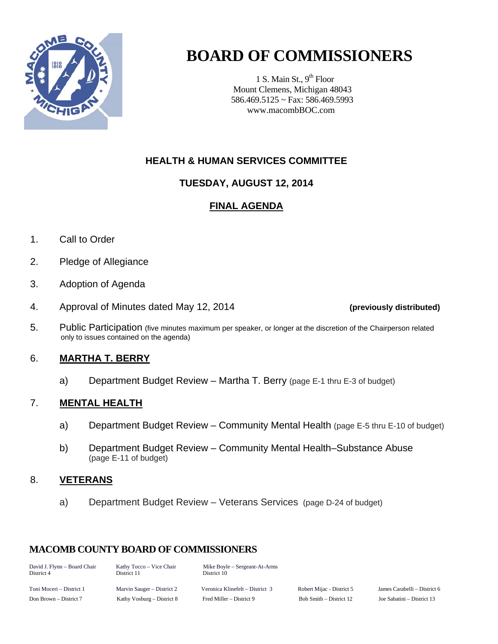

## **BOARD OF COMMISSIONERS**

1 S. Main St.,  $9<sup>th</sup>$  Floor Mount Clemens, Michigan 48043 586.469.5125 ~ Fax: 586.469.5993 www.macombBOC.com

#### **HEALTH & HUMAN SERVICES COMMITTEE**

#### **TUESDAY, AUGUST 12, 2014**

#### **FINAL AGENDA**

- 1. Call to Order
- 2. Pledge of Allegiance
- 3. Adoption of Agenda
- 4. Approval of Minutes dated May 12, 2014 **(previously distributed)**
- 5. Public Participation (five minutes maximum per speaker, or longer at the discretion of the Chairperson related only to issues contained on the agenda)

#### 6. **MARTHA T. BERRY**

a) Department Budget Review – Martha T. Berry (page E-1 thru E-3 of budget)

#### 7. **MENTAL HEALTH**

- a) Department Budget Review Community Mental Health (page E-5 thru E-10 of budget)
- b) Department Budget Review Community Mental Health–Substance Abuse (page E-11 of budget)

#### 8. **VETERANS**

a) Department Budget Review – Veterans Services (page D-24 of budget)

#### **MACOMB COUNTY BOARD OF COMMISSIONERS**

| David J. Flynn - Board Chair<br>District 4 | Kathy Tocco – Vice Chair<br>District 11 | Mike Boyle – Sergeant-At-Arms<br>District 10 |                           |                            |  |  |  |  |
|--------------------------------------------|-----------------------------------------|----------------------------------------------|---------------------------|----------------------------|--|--|--|--|
| Toni Moceri – District 1                   | Marvin Sauger – District 2              | Veronica Klinefelt – District 3              | Robert Mijac - District 5 | James Carabelli – District |  |  |  |  |
| Don Brown – District 7                     | Kathy Vosburg – District 8              | Fred Miller – District 9                     | Bob Smith – District 12   | Joe Sabatini – District 13 |  |  |  |  |

- District 5 James Carabelli – District 6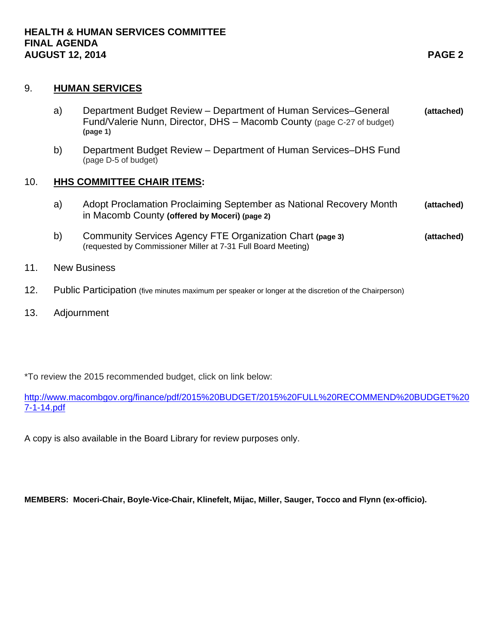#### 9. **HUMAN SERVICES**

- a) Department Budget Review Department of Human Services–General **(attached)** Fund/Valerie Nunn, Director, DHS – Macomb County (page C-27 of budget) **(page 1)**
- b) Department Budget Review Department of Human Services–DHS Fund (page D-5 of budget)

#### 10. **HHS COMMITTEE CHAIR ITEMS:**

- a) Adopt Proclamation Proclaiming September as National Recovery Month **(attached)** in Macomb County **(offered by Moceri) (page 2)**
- b) Community Services Agency FTE Organization Chart **(page 3) (attached)** (requested by Commissioner Miller at 7-31 Full Board Meeting)
- 11. New Business
- 12. Public Participation (five minutes maximum per speaker or longer at the discretion of the Chairperson)
- 13. Adjournment

\*To review the 2015 recommended budget, click on link below:

[http://www.macombgov.org/finance/pdf/2015%20BUDGET/2015%20FULL%20RECOMMEND%20BUDGET%20](http://www.macombgov.org/finance/pdf/2015%20BUDGET/2015%20FULL%20RECOMMEND%20BUDGET%207-1-14.pdf) [7-1-14.pdf](http://www.macombgov.org/finance/pdf/2015%20BUDGET/2015%20FULL%20RECOMMEND%20BUDGET%207-1-14.pdf)

A copy is also available in the Board Library for review purposes only.

**MEMBERS: Moceri-Chair, Boyle-Vice-Chair, Klinefelt, Mijac, Miller, Sauger, Tocco and Flynn (ex-officio).**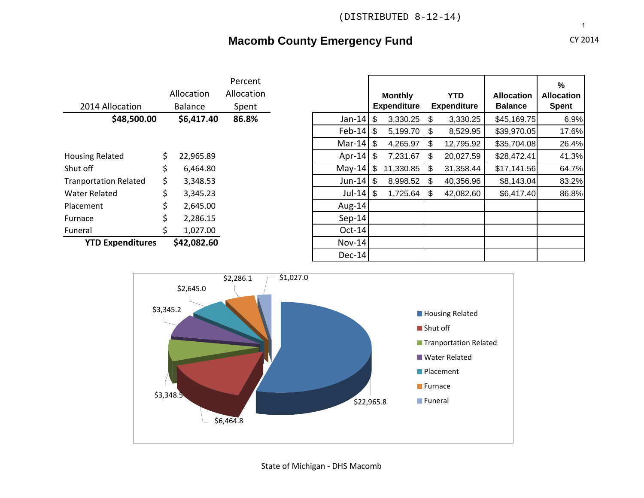### **Macomb County Emergency Fund CY 2014** CY 2014

#### 2014 Allocation AllocationBalance Percent AllocationSpent Housing Related  $\qquad \qquad$  \$22,965.89 Shut off Tranportation Related  $\qquad \qquad$  \$ 3,348.53 Water RelatedPlacement $$ 2,645.00$ Furnace $$ 2,286.15$ Funeral $$ 1,027.00$ **YTD Expenditures \$42,082.60** Nov‐<sup>14</sup>

|                         |     |                | Percent    |                      |                    |                |                    |                   | $\frac{9}{6}$     |
|-------------------------|-----|----------------|------------|----------------------|--------------------|----------------|--------------------|-------------------|-------------------|
|                         |     | Allocation     | Allocation |                      | <b>Monthly</b>     |                | <b>YTD</b>         | <b>Allocation</b> | <b>Allocation</b> |
| 2014 Allocation         |     | <b>Balance</b> | Spent      |                      | <b>Expenditure</b> |                | <b>Expenditure</b> | <b>Balance</b>    | <b>Spent</b>      |
| \$48,500.00             |     | \$6,417.40     | 86.8%      | Jan-14 $\frac{1}{2}$ | 3,330.25           | \$             | 3,330.25           | \$45,169.75       | 6.9%              |
|                         |     |                |            | Feb-14 $\frac{1}{2}$ | 5,199.70           | \$             | 8,529.95           | \$39,970.05       | 17.6%             |
|                         |     |                |            | Mar-14 $\frac{1}{2}$ | 4,265.97           | \$             | 12,795.92          | \$35,704.08       | 26.4%             |
| sing Related            | \$  | 22,965.89      |            | Apr-14 $\frac{1}{2}$ | 7,231.67           | \$             | 20,027.59          | \$28,472.41       | 41.3%             |
| t off                   | \$. | 6,464.80       |            | May-14 $\frac{1}{2}$ | 11,330.85          | \$             | 31,358.44          | \$17,141.56       | 64.7%             |
| nportation Related      | \$. | 3,348.53       |            | Jun-14 $\frac{1}{2}$ | 8,998.52           | \$             | 40,356.96          | \$8,143.04        | 83.2%             |
| ter Related             | \$  | 3,345.23       |            | Jul-14 $\frac{1}{2}$ | 1,725.64           | $\mathfrak{L}$ | 42,082.60          | \$6,417.40        | 86.8%             |
| ement:                  | Ś   | 2,645.00       |            | Aug-14               |                    |                |                    |                   |                   |
| าace                    |     | 2,286.15       |            | $Sep-14$             |                    |                |                    |                   |                   |
| eral                    | S   | 1,027.00       |            | $Oct-14$             |                    |                |                    |                   |                   |
| <b>YTD Expenditures</b> |     | \$42,082.60    |            | $Nov-14$             |                    |                |                    |                   |                   |
|                         |     |                |            | $Dec-14$             |                    |                |                    |                   |                   |

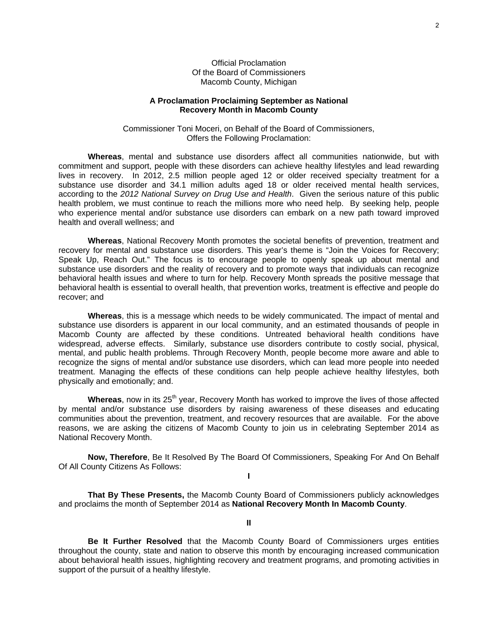Official Proclamation Of the Board of Commissioners Macomb County, Michigan

#### **A Proclamation Proclaiming September as National Recovery Month in Macomb County**

Commissioner Toni Moceri, on Behalf of the Board of Commissioners, Offers the Following Proclamation:

**Whereas**, mental and substance use disorders affect all communities nationwide, but with commitment and support, people with these disorders can achieve healthy lifestyles and lead rewarding lives in recovery. In 2012, 2.5 million people aged 12 or older received specialty treatment for a substance use disorder and 34.1 million adults aged 18 or older received mental health services, according to the *2012 National Survey on Drug Use and Health*. Given the serious nature of this public health problem, we must continue to reach the millions more who need help. By seeking help, people who experience mental and/or substance use disorders can embark on a new path toward improved health and overall wellness; and

**Whereas**, National Recovery Month promotes the societal benefits of prevention, treatment and recovery for mental and substance use disorders. This year's theme is "Join the Voices for Recovery; Speak Up, Reach Out." The focus is to encourage people to openly speak up about mental and substance use disorders and the reality of recovery and to promote ways that individuals can recognize behavioral health issues and where to turn for help. Recovery Month spreads the positive message that behavioral health is essential to overall health, that prevention works, treatment is effective and people do recover; and

**Whereas**, this is a message which needs to be widely communicated. The impact of mental and substance use disorders is apparent in our local community, and an estimated thousands of people in Macomb County are affected by these conditions. Untreated behavioral health conditions have widespread, adverse effects. Similarly, substance use disorders contribute to costly social, physical, mental, and public health problems. Through Recovery Month, people become more aware and able to recognize the signs of mental and/or substance use disorders, which can lead more people into needed treatment. Managing the effects of these conditions can help people achieve healthy lifestyles, both physically and emotionally; and.

Whereas, now in its 25<sup>th</sup> year, Recovery Month has worked to improve the lives of those affected by mental and/or substance use disorders by raising awareness of these diseases and educating communities about the prevention, treatment, and recovery resources that are available. For the above reasons, we are asking the citizens of Macomb County to join us in celebrating September 2014 as National Recovery Month.

**Now, Therefore**, Be It Resolved By The Board Of Commissioners, Speaking For And On Behalf Of All County Citizens As Follows: **I** 

**That By These Presents,** the Macomb County Board of Commissioners publicly acknowledges and proclaims the month of September 2014 as **National Recovery Month In Macomb County**.

**II** 

**Be It Further Resolved** that the Macomb County Board of Commissioners urges entities throughout the county, state and nation to observe this month by encouraging increased communication about behavioral health issues, highlighting recovery and treatment programs, and promoting activities in support of the pursuit of a healthy lifestyle.